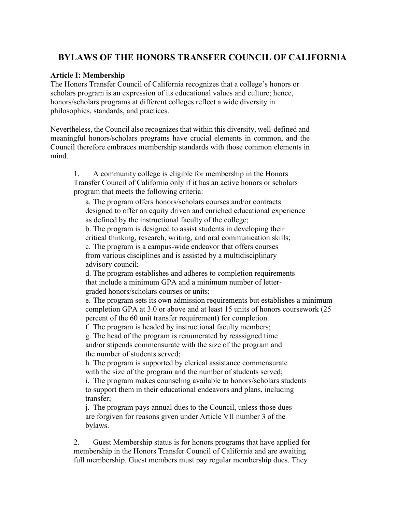# **BYLAWS OF THE HONORS TRANSFER COUNCIL OF CALIFORNIA**

#### **Article I: Membership**

The Honors Transfer Council of California recognizes that a college's honors or scholars program is an expression of its educational values and culture; hence, honors/scholars programs at different colleges reflect a wide diversity in philosophies, standards, and practices.

Nevertheless, the Council also recognizes that within this diversity, well-defined and meaningful honors/scholars programs have crucial elements in common, and the Council therefore embraces membership standards with those common elements in mind.

1. A community college is eligible for membership in the Honors Transfer Council of California only if it has an active honors or scholars program that meets the following criteria:

a. The program offers honors/scholars courses and/or contracts designed to offer an equity driven and enriched educational experience as defined by the instructional faculty of the college;

b. The program is designed to assist students in developing their critical thinking, research, writing, and oral communication skills;

c. The program is a campus-wide endeavor that offers courses from various disciplines and is assisted by a multidisciplinary advisory council;

d. The program establishes and adheres to completion requirements that include a minimum GPA and a minimum number of lettergraded honors/scholars courses or units;

e. The program sets its own admission requirements but establishes a minimum completion GPA at 3.0 or above and at least 15 units of honors coursework (25 percent of the 60 unit transfer requirement) for completion.

f. The program is headed by instructional faculty members;

 g. The head of the program is renumerated by reassigned time and/or stipends commensurate with the size of the program and the number of students served;

h. The program is supported by clerical assistance commensurate with the size of the program and the number of students served;

i. The program makes counseling available to honors/scholars students to support them in their educational endeavors and plans, including transfer;

j. The program pays annual dues to the Council, unless those dues are forgiven for reasons given under Article VII number 3 of the bylaws.

2. Guest Membership status is for honors programs that have applied for membership in the Honors Transfer Council of California and are awaiting full membership. Guest members must pay regular membership dues. They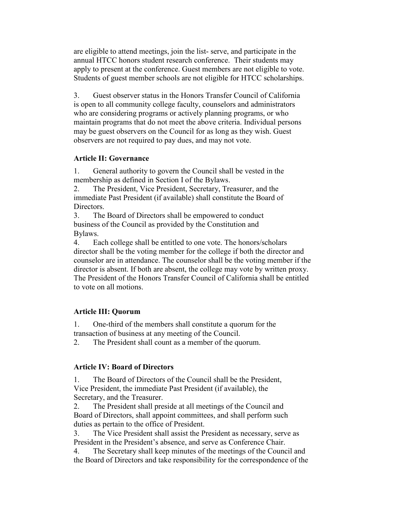are eligible to attend meetings, join the list- serve, and participate in the annual HTCC honors student research conference. Their students may apply to present at the conference. Guest members are not eligible to vote. Students of guest member schools are not eligible for HTCC scholarships.

3. Guest observer status in the Honors Transfer Council of California is open to all community college faculty, counselors and administrators who are considering programs or actively planning programs, or who maintain programs that do not meet the above criteria. Individual persons may be guest observers on the Council for as long as they wish. Guest observers are not required to pay dues, and may not vote.

### **Article II: Governance**

1. General authority to govern the Council shall be vested in the membership as defined in Section I of the Bylaws.

2. The President, Vice President, Secretary, Treasurer, and the immediate Past President (if available) shall constitute the Board of Directors.

3. The Board of Directors shall be empowered to conduct business of the Council as provided by the Constitution and Bylaws.

4. Each college shall be entitled to one vote. The honors/scholars director shall be the voting member for the college if both the director and counselor are in attendance. The counselor shall be the voting member if the director is absent. If both are absent, the college may vote by written proxy. The President of the Honors Transfer Council of California shall be entitled to vote on all motions.

## **Article III: Quorum**

1. One-third of the members shall constitute a quorum for the transaction of business at any meeting of the Council.

2. The President shall count as a member of the quorum.

## **Article IV: Board of Directors**

1. The Board of Directors of the Council shall be the President, Vice President, the immediate Past President (if available), the Secretary, and the Treasurer.

2. The President shall preside at all meetings of the Council and Board of Directors, shall appoint committees, and shall perform such duties as pertain to the office of President.

3. The Vice President shall assist the President as necessary, serve as President in the President's absence, and serve as Conference Chair.

4. The Secretary shall keep minutes of the meetings of the Council and the Board of Directors and take responsibility for the correspondence of the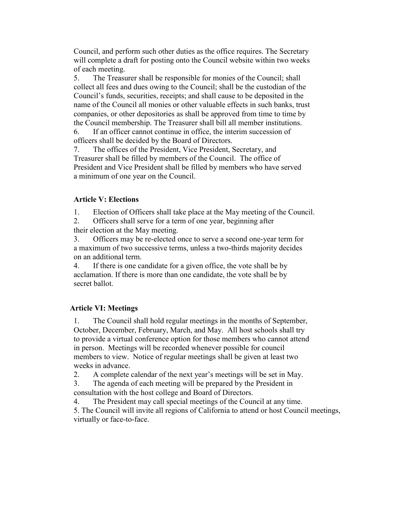Council, and perform such other duties as the office requires. The Secretary will complete a draft for posting onto the Council website within two weeks of each meeting.

5. The Treasurer shall be responsible for monies of the Council; shall collect all fees and dues owing to the Council; shall be the custodian of the Council's funds, securities, receipts; and shall cause to be deposited in the name of the Council all monies or other valuable effects in such banks, trust companies, or other depositories as shall be approved from time to time by the Council membership. The Treasurer shall bill all member institutions.

6. If an officer cannot continue in office, the interim succession of officers shall be decided by the Board of Directors.

7. The offices of the President, Vice President, Secretary, and Treasurer shall be filled by members of the Council. The office of President and Vice President shall be filled by members who have served a minimum of one year on the Council.

#### **Article V: Elections**

1. Election of Officers shall take place at the May meeting of the Council.

2. Officers shall serve for a term of one year, beginning after their election at the May meeting.

3. Officers may be re-elected once to serve a second one-year term for a maximum of two successive terms, unless a two-thirds majority decides on an additional term.

4. If there is one candidate for a given office, the vote shall be by acclamation. If there is more than one candidate, the vote shall be by secret ballot.

#### **Article VI: Meetings**

1. The Council shall hold regular meetings in the months of September, October, December, February, March, and May. All host schools shall try to provide a virtual conference option for those members who cannot attend in person. Meetings will be recorded whenever possible for council members to view. Notice of regular meetings shall be given at least two weeks in advance.

2. A complete calendar of the next year's meetings will be set in May.

3. The agenda of each meeting will be prepared by the President in consultation with the host college and Board of Directors.

4. The President may call special meetings of the Council at any time.

5. The Council will invite all regions of California to attend or host Council meetings, virtually or face-to-face.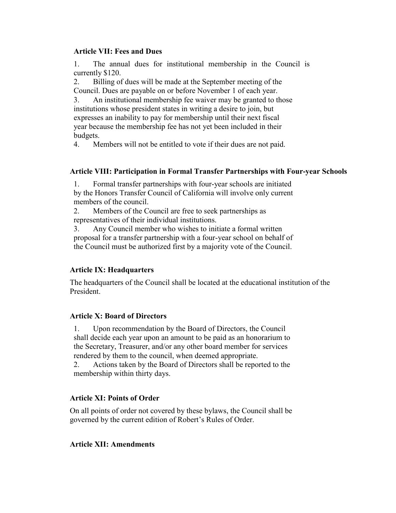### **Article VII: Fees and Dues**

1. The annual dues for institutional membership in the Council is currently \$120.

2. Billing of dues will be made at the September meeting of the Council. Dues are payable on or before November 1 of each year.

3. An institutional membership fee waiver may be granted to those institutions whose president states in writing a desire to join, but expresses an inability to pay for membership until their next fiscal year because the membership fee has not yet been included in their budgets.

4. Members will not be entitled to vote if their dues are not paid.

### **Article VIII: Participation in Formal Transfer Partnerships with Four-year Schools**

1. Formal transfer partnerships with four-year schools are initiated by the Honors Transfer Council of California will involve only current members of the council.

2. Members of the Council are free to seek partnerships as representatives of their individual institutions.

3. Any Council member who wishes to initiate a formal written proposal for a transfer partnership with a four-year school on behalf of the Council must be authorized first by a majority vote of the Council.

## **Article IX: Headquarters**

The headquarters of the Council shall be located at the educational institution of the President.

### **Article X: Board of Directors**

1. Upon recommendation by the Board of Directors, the Council shall decide each year upon an amount to be paid as an honorarium to the Secretary, Treasurer, and/or any other board member for services rendered by them to the council, when deemed appropriate.

2. Actions taken by the Board of Directors shall be reported to the membership within thirty days.

## **Article XI: Points of Order**

On all points of order not covered by these bylaws, the Council shall be governed by the current edition of Robert's Rules of Order.

### **Article XII: Amendments**